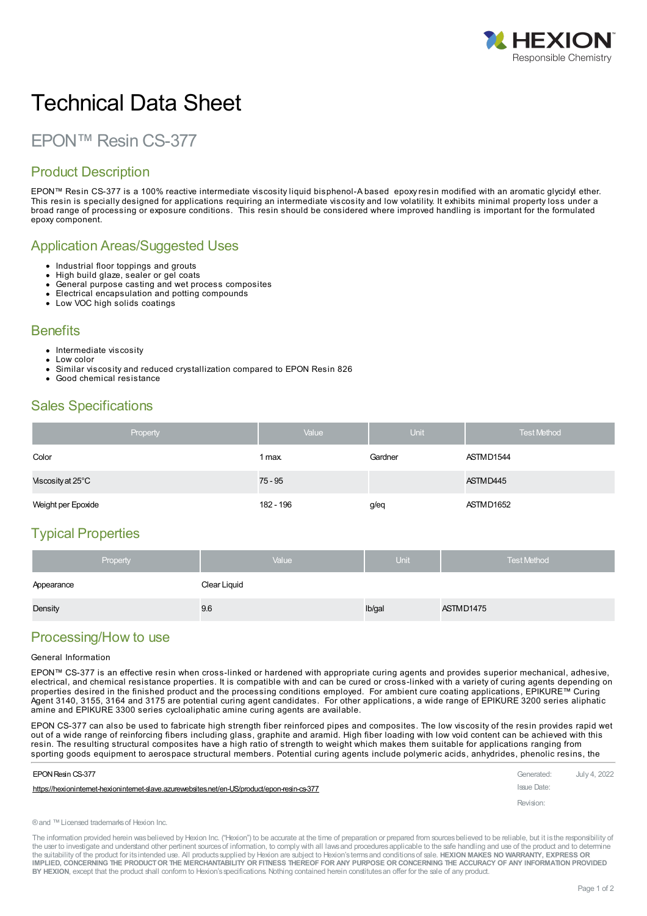

# Technical Data Sheet

# EPON™ Resin CS-377

## Product Description

EPON™ Resin CS-377 is a 100% reactive intermediate viscosity liquid bisphenol-A based epoxy resin modified with an aromatic glycidyl ether. This resin is specially designed for applications requiring an intermediate viscosity and low volatility. It exhibits minimal property loss under a broad range of processing or exposure conditions. This resin should be considered where improved handling is important for the formulated epoxy component.

#### Application Areas/Suggested Uses

- Industrial floor toppings and grouts
- High build glaze, sealer or gel coats
- General purpose casting and wet process composites
- Electrical encapsulation and potting compounds
- Low VOC high solids coatings

#### **Benefits**

- Intermediate viscosity
- Low color
- Similar viscosity and reduced crystallization compared to EPON Resin 826
- Good chemical resistance

# Sales Specifications

| Property                    | Value     | <b>Unit</b> | <b>Test Method</b> |
|-----------------------------|-----------|-------------|--------------------|
| Color                       | 1 max.    | Gardner     | ASTMD1544          |
| Viscosity at $25^{\circ}$ C | $75 - 95$ |             | ASTMD445           |
| Weight per Epoxide          | 182 - 196 | g/eq        | ASTMD1652          |

# Typical Properties

| Property   | Value        | <b>Unit</b> | <b>Test Method</b> |
|------------|--------------|-------------|--------------------|
| Appearance | Clear Liquid |             |                    |
| Density    | 9.6          | lb/gal      | ASTMD1475          |

## Processing/How to use

#### General Information

EPON™ CS-377 is an effective resin when cross-linked or hardened with appropriate curing agents and provides superior mechanical, adhesive, electrical, and chemical resistance properties. It is compatible with and can be cured or cross-linked with a variety of curing agents depending on properties desired in the finished product and the processing conditions employed. For ambient cure coating applications, EPIKURE™ Curing Agent 3140, 3155, 3164 and 3175 are potential curing agent candidates. For other applications, a wide range of EPIKURE 3200 series aliphatic amine and EPIKURE 3300 series cycloaliphatic amine curing agents are available.

EPON CS-377 can also be used to fabricate high strength fiber reinforced pipes and composites. The low viscosity of the resin provides rapid wet out of a wide range of reinforcing fibers including glass, graphite and aramid. High fiber loading with low void content can be achieved with this resin. The resulting structural composites have a high ratio of strength to weight which makes them suitable for applications ranging from sporting goods [equipment](https://hexioninternet-hexioninternet-slave.azurewebsites.net/en-US/product/epon-resin-cs-377) to aerospace structural members. Potential curing agents include polymeric acids, anhydrides, phenolic resins, the

| EPON Resin CS-377                                                                             | Generated:  | July 4, 2022 |
|-----------------------------------------------------------------------------------------------|-------------|--------------|
| https://hexioninternet-hexioninternet-slave.azurewebsites.net/en-US/product/epon-resin-cs-377 | Issue Date: |              |
|                                                                                               | Revision:   |              |

®and ™Licensed trademarksof Hexion Inc.

The information provided herein was believed by Hexion Inc. ("Hexion") to be accurate at the time of preparation or prepared from sources believed to be reliable, but it is the responsibility of the user to investigate and understand other pertinent sources of information, to comply with all laws and procedures applicable to the safe handling and use of the product and to determine the suitability of the product for itsintended use. All productssupplied by Hexion are subject to Hexion'stermsand conditionsof sale. **HEXION MAKES NO WARRANTY, EXPRESS OR** IMPLIED, CONCERNING THE PRODUCT OR THE MERCHANTABILITY OR FITNESS THEREOF FOR ANY PURPOSE OR CONCERNING THE ACCURACY OF ANY INFORMATION PROVIDED **BY HEXION**, except that the product shall conform to Hexion'sspecifications. Nothing contained herein constitutesan offer for the sale of any product.